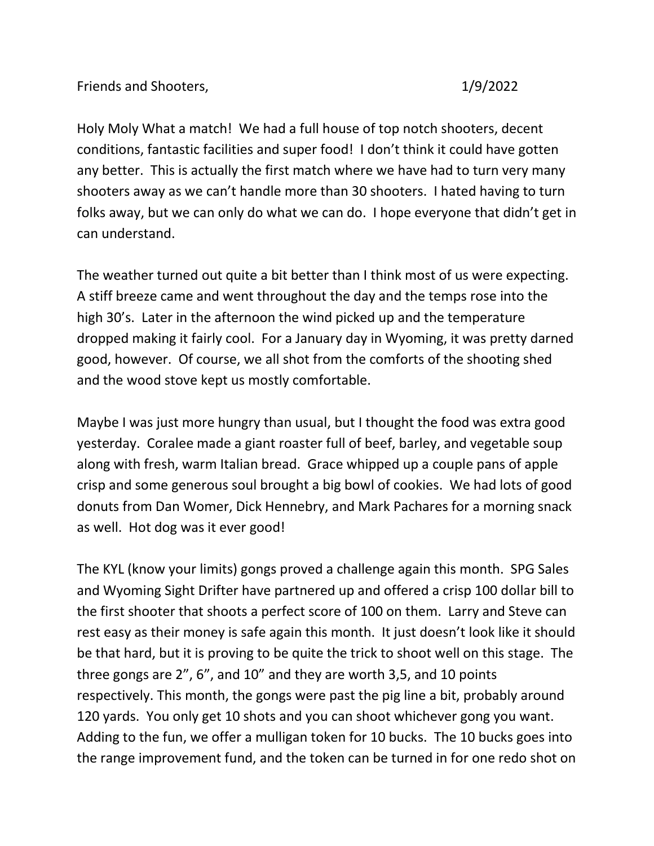Holy Moly What a match! We had a full house of top notch shooters, decent conditions, fantastic facilities and super food! I don't think it could have gotten any better. This is actually the first match where we have had to turn very many shooters away as we can't handle more than 30 shooters. I hated having to turn folks away, but we can only do what we can do. I hope everyone that didn't get in can understand.

The weather turned out quite a bit better than I think most of us were expecting. A stiff breeze came and went throughout the day and the temps rose into the high 30's. Later in the afternoon the wind picked up and the temperature dropped making it fairly cool. For a January day in Wyoming, it was pretty darned good, however. Of course, we all shot from the comforts of the shooting shed and the wood stove kept us mostly comfortable.

Maybe I was just more hungry than usual, but I thought the food was extra good yesterday. Coralee made a giant roaster full of beef, barley, and vegetable soup along with fresh, warm Italian bread. Grace whipped up a couple pans of apple crisp and some generous soul brought a big bowl of cookies. We had lots of good donuts from Dan Womer, Dick Hennebry, and Mark Pachares for a morning snack as well. Hot dog was it ever good!

The KYL (know your limits) gongs proved a challenge again this month. SPG Sales and Wyoming Sight Drifter have partnered up and offered a crisp 100 dollar bill to the first shooter that shoots a perfect score of 100 on them. Larry and Steve can rest easy as their money is safe again this month. It just doesn't look like it should be that hard, but it is proving to be quite the trick to shoot well on this stage. The three gongs are 2", 6", and 10" and they are worth 3,5, and 10 points respectively. This month, the gongs were past the pig line a bit, probably around 120 yards. You only get 10 shots and you can shoot whichever gong you want. Adding to the fun, we offer a mulligan token for 10 bucks. The 10 bucks goes into the range improvement fund, and the token can be turned in for one redo shot on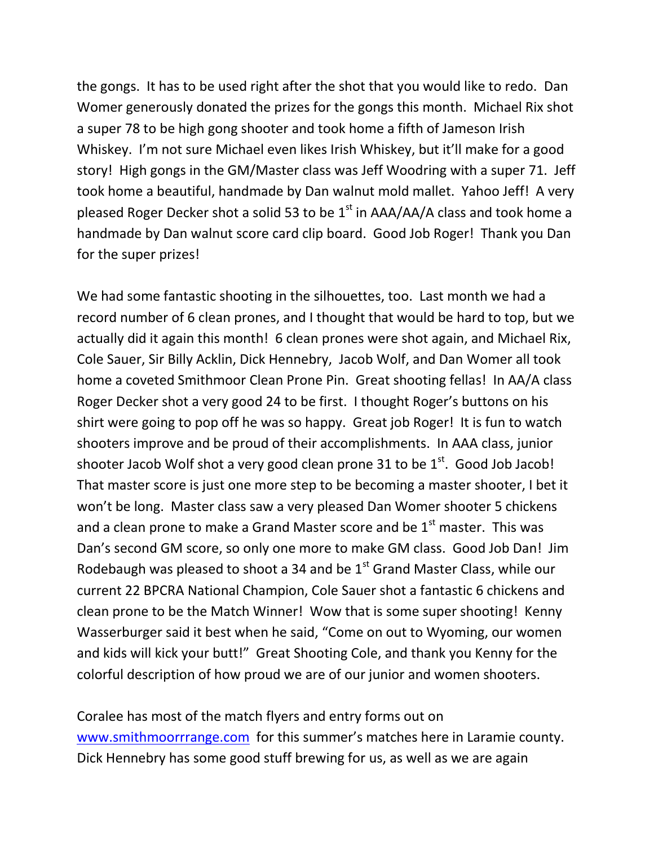the gongs. It has to be used right after the shot that you would like to redo. Dan Womer generously donated the prizes for the gongs this month. Michael Rix shot a super 78 to be high gong shooter and took home a fifth of Jameson Irish Whiskey. I'm not sure Michael even likes Irish Whiskey, but it'll make for a good story! High gongs in the GM/Master class was Jeff Woodring with a super 71. Jeff took home a beautiful, handmade by Dan walnut mold mallet. Yahoo Jeff! A very pleased Roger Decker shot a solid 53 to be  $1<sup>st</sup>$  in AAA/AA/A class and took home a handmade by Dan walnut score card clip board. Good Job Roger! Thank you Dan for the super prizes!

We had some fantastic shooting in the silhouettes, too. Last month we had a record number of 6 clean prones, and I thought that would be hard to top, but we actually did it again this month! 6 clean prones were shot again, and Michael Rix, Cole Sauer, Sir Billy Acklin, Dick Hennebry, Jacob Wolf, and Dan Womer all took home a coveted Smithmoor Clean Prone Pin. Great shooting fellas! In AA/A class Roger Decker shot a very good 24 to be first. I thought Roger's buttons on his shirt were going to pop off he was so happy. Great job Roger! It is fun to watch shooters improve and be proud of their accomplishments. In AAA class, junior shooter Jacob Wolf shot a very good clean prone 31 to be  $1<sup>st</sup>$ . Good Job Jacob! That master score is just one more step to be becoming a master shooter, I bet it won't be long. Master class saw a very pleased Dan Womer shooter 5 chickens and a clean prone to make a Grand Master score and be  $1<sup>st</sup>$  master. This was Dan's second GM score, so only one more to make GM class. Good Job Dan! Jim Rodebaugh was pleased to shoot a 34 and be  $1<sup>st</sup>$  Grand Master Class, while our current 22 BPCRA National Champion, Cole Sauer shot a fantastic 6 chickens and clean prone to be the Match Winner! Wow that is some super shooting! Kenny Wasserburger said it best when he said, "Come on out to Wyoming, our women and kids will kick your butt!" Great Shooting Cole, and thank you Kenny for the colorful description of how proud we are of our junior and women shooters.

Coralee has most of the match flyers and entry forms out on [www.smithmoorrrange.com](http://www.smithmoorrrange.com/) for this summer's matches here in Laramie county. Dick Hennebry has some good stuff brewing for us, as well as we are again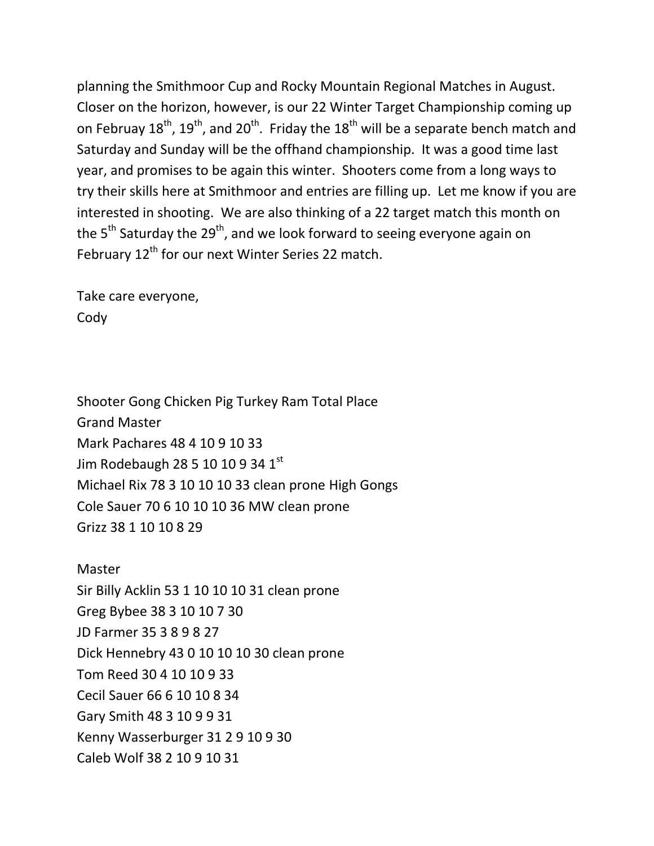planning the Smithmoor Cup and Rocky Mountain Regional Matches in August. Closer on the horizon, however, is our 22 Winter Target Championship coming up on Februay  $18^{th}$ ,  $19^{th}$ , and  $20^{th}$ . Friday the  $18^{th}$  will be a separate bench match and Saturday and Sunday will be the offhand championship. It was a good time last year, and promises to be again this winter. Shooters come from a long ways to try their skills here at Smithmoor and entries are filling up. Let me know if you are interested in shooting. We are also thinking of a 22 target match this month on the  $5<sup>th</sup>$  Saturday the 29<sup>th</sup>, and we look forward to seeing everyone again on February 12<sup>th</sup> for our next Winter Series 22 match.

Take care everyone, Cody

Shooter Gong Chicken Pig Turkey Ram Total Place Grand Master Mark Pachares 48 4 10 9 10 33 Jim Rodebaugh 28 5 10 10 9 34  $1^{\text{st}}$ Michael Rix 78 3 10 10 10 33 clean prone High Gongs Cole Sauer 70 6 10 10 10 36 MW clean prone Grizz 38 1 10 10 8 29

Master Sir Billy Acklin 53 1 10 10 10 31 clean prone Greg Bybee 38 3 10 10 7 30 JD Farmer 35 3 8 9 8 27 Dick Hennebry 43 0 10 10 10 30 clean prone Tom Reed 30 4 10 10 9 33 Cecil Sauer 66 6 10 10 8 34 Gary Smith 48 3 10 9 9 31 Kenny Wasserburger 31 2 9 10 9 30 Caleb Wolf 38 2 10 9 10 31